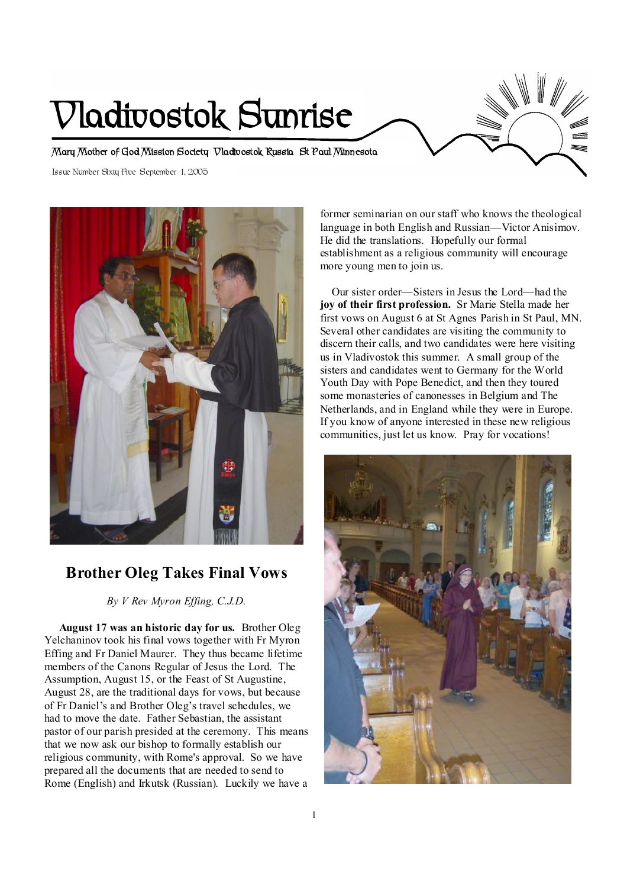# **Vladivostok Sunrise**

**Mary Mother of God Mission Society Vladivostok Russia St Paul Minnesota** 

Issue Number Sixty Five September 1, 2005



# **Brother Oleg Takes Final Vows**

*By V Rev Myron Effing, C.J.D.* 

 **August 17 was an historic day for us.** Brother Oleg Yelchaninov took his final vows together with Fr Myron Effing and Fr Daniel Maurer. They thus became lifetime members of the Canons Regular of Jesus the Lord. The Assumption, August 15, or the Feast of St Augustine, August 28, are the traditional days for vows, but because of Fr Daniel's and Brother Oleg's travel schedules, we had to move the date. Father Sebastian, the assistant pastor of our parish presided at the ceremony. This means that we now ask our bishop to formally establish our religious community, with Rome's approval. So we have prepared all the documents that are needed to send to Rome (English) and Irkutsk (Russian). Luckily we have a

former seminarian on our staff who knows the theological language in both English and Russian—Victor Anisimov. He did the translations. Hopefully our formal establishment as a religious community will encourage more young men to join us.

 Our sister order—Sisters in Jesus the Lord—had the **joy of their first profession.** Sr Marie Stella made her first vows on August 6 at St Agnes Parish in St Paul, MN. Several other candidates are visiting the community to discern their calls, and two candidates were here visiting us in Vladivostok this summer. A small group of the sisters and candidates went to Germany for the World Youth Day with Pope Benedict, and then they toured some monasteries of canonesses in Belgium and The Netherlands, and in England while they were in Europe. If you know of anyone interested in these new religious communities, just let us know. Pray for vocations!

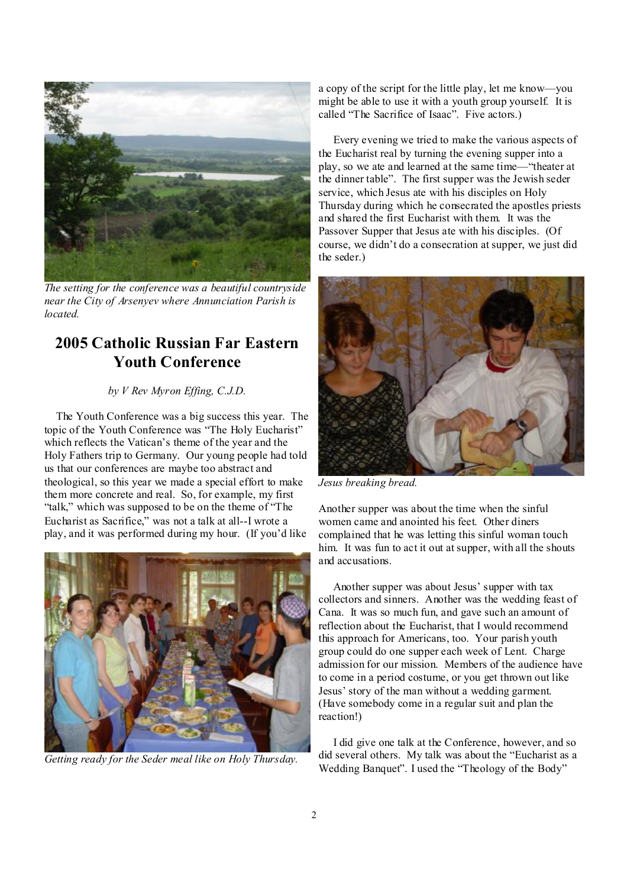

*The setting for the conference was a beautiful countryside near the City of Arsenyev where Annunciation Parish is located.* 

## **2005 Catholic Russian Far Eastern Youth Conference**

#### *by V Rev Myron Effing, C.J.D.*

 The Youth Conference was a big success this year. The topic of the Youth Conference was "The Holy Eucharist" which reflects the Vatican's theme of the year and the Holy Fathers trip to Germany. Our young people had told us that our conferences are maybe too abstract and theological, so this year we made a special effort to make them more concrete and real. So, for example, my first "talk," which was supposed to be on the theme of "The Eucharist as Sacrifice," was not a talk at all--I wrote a play, and it was performed during my hour. (If you'd like



*Getting ready for the Seder meal like on Holy Thursday.* 

a copy of the script for the little play, let me know—you might be able to use it with a youth group yourself. It is called "The Sacrifice of Isaac". Five actors.)

 Every evening we tried to make the various aspects of the Eucharist real by turning the evening supper into a play, so we ate and learned at the same time—"theater at the dinner table". The first supper was the Jewish seder service, which Jesus ate with his disciples on Holy Thursday during which he consecrated the apostles priests and shared the first Eucharist with them. It was the Passover Supper that Jesus ate with his disciples. (Of course, we didn't do a consecration at supper, we just did the seder.)



*Jesus breaking bread.* 

Another supper was about the time when the sinful women came and anointed his feet. Other diners complained that he was letting this sinful woman touch him. It was fun to act it out at supper, with all the shouts and accusations.

 Another supper was about Jesus' supper with tax collectors and sinners. Another was the wedding feast of Cana. It was so much fun, and gave such an amount of reflection about the Eucharist, that I would recommend this approach for Americans, too. Your parish youth group could do one supper each week of Lent. Charge admission for our mission. Members of the audience have to come in a period costume, or you get thrown out like Jesus' story of the man without a wedding garment. (Have somebody come in a regular suit and plan the reaction!)

 I did give one talk at the Conference, however, and so did several others. My talk was about the "Eucharist as a Wedding Banquet". I used the "Theology of the Body"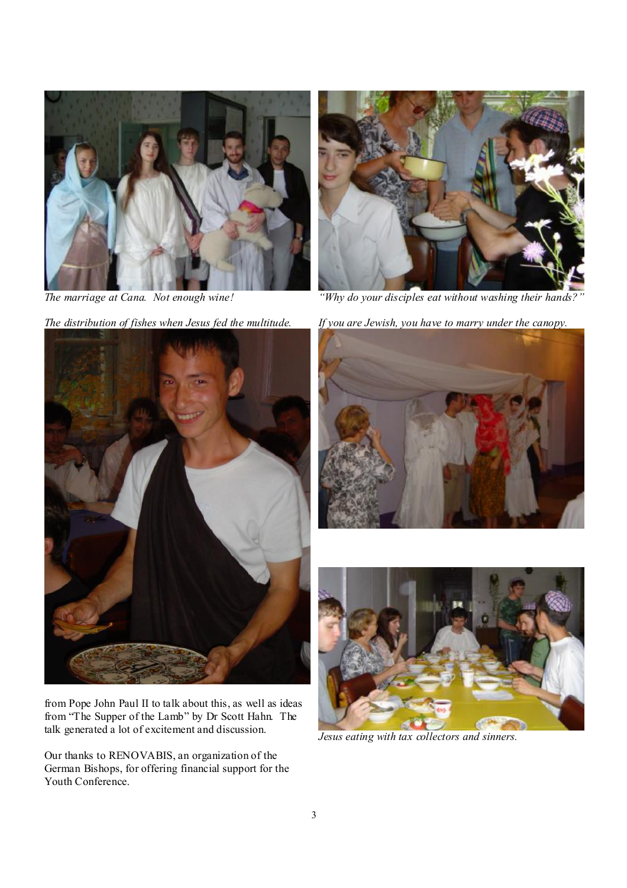

*The marriage at Cana. Not enough wine!* 

*The distribution of fishes when Jesus fed the multitude.* 



from Pope John Paul II to talk about this, as well as ideas from "The Supper of the Lamb" by Dr Scott Hahn. The talk generated a lot of excitement and discussion.

Our thanks to RENOVABIS, an organization of the German Bishops, for offering financial support for the Youth Conference.



*"Why do your disciples eat without washing their hands?"* 

*If you are Jewish, you have to marry under the canopy.* 





*Jesus eating with tax collectors and sinners.*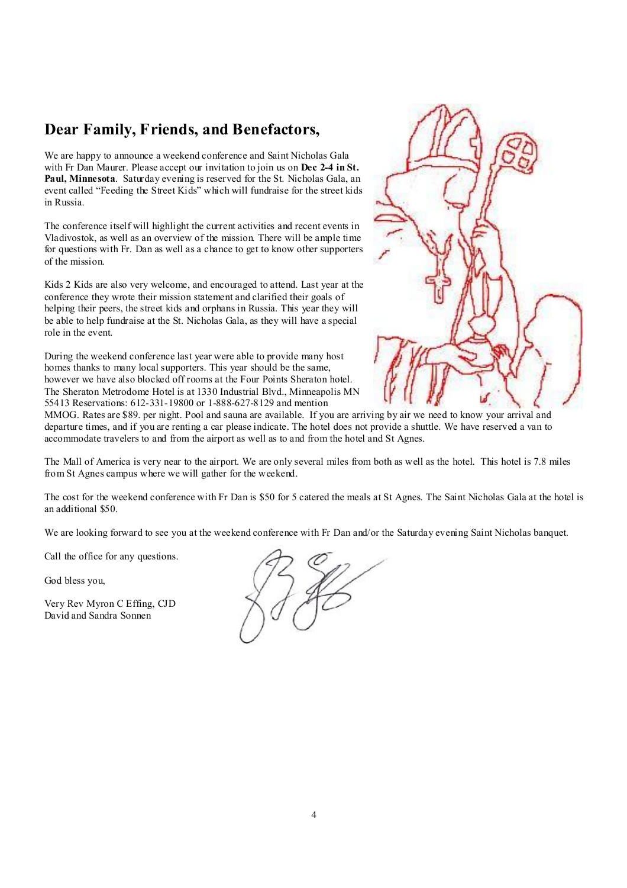# **Dear Family, Friends, and Benefactors,**

We are happy to announce a weekend conference and Saint Nicholas Gala with Fr Dan Maurer. Please accept our invitation to join us on **Dec 2-4 in St. Paul, Minnesota**. Saturday evening is reserved for the St. Nicholas Gala, an event called "Feeding the Street Kids" which will fundraise for the street kids in Russia.

The conference itself will highlight the current activities and recent events in Vladivostok, as well as an overview of the mission. There will be ample time for questions with Fr. Dan as well as a chance to get to know other supporters of the mission.

Kids 2 Kids are also very welcome, and encouraged to attend. Last year at the conference they wrote their mission statement and clarified their goals of helping their peers, the street kids and orphans in Russia. This year they will be able to help fundraise at the St. Nicholas Gala, as they will have a special role in the event.

During the weekend conference last year were able to provide many host homes thanks to many local supporters. This year should be the same, however we have also blocked off rooms at the Four Points Sheraton hotel. The Sheraton Metrodome Hotel is at 1330 Industrial Blvd., Minneapolis MN 55413 Reservations: 612-331-19800 or 1-888-627-8129 and mention



MMOG. Rates are \$89. per night. Pool and sauna are available. If you are arriving by air we need to know your arrival and departure times, and if you are renting a car please indicate. The hotel does not provide a shuttle. We have reserved a van to accommodate travelers to and from the airport as well as to and from the hotel and St Agnes.

The Mall of America is very near to the airport. We are only several miles from both as well as the hotel. This hotel is 7.8 miles from St Agnes campus where we will gather for the weekend.

The cost for the weekend conference with Fr Dan is \$50 for 5 catered the meals at St Agnes. The Saint Nicholas Gala at the hotel is an additional \$50.

We are looking forward to see you at the weekend conference with Fr Dan and/or the Saturday evening Saint Nicholas banquet.

Call the office for any questions.

God bless you,

Very Rev Myron C Effing, CJD David and Sandra Sonnen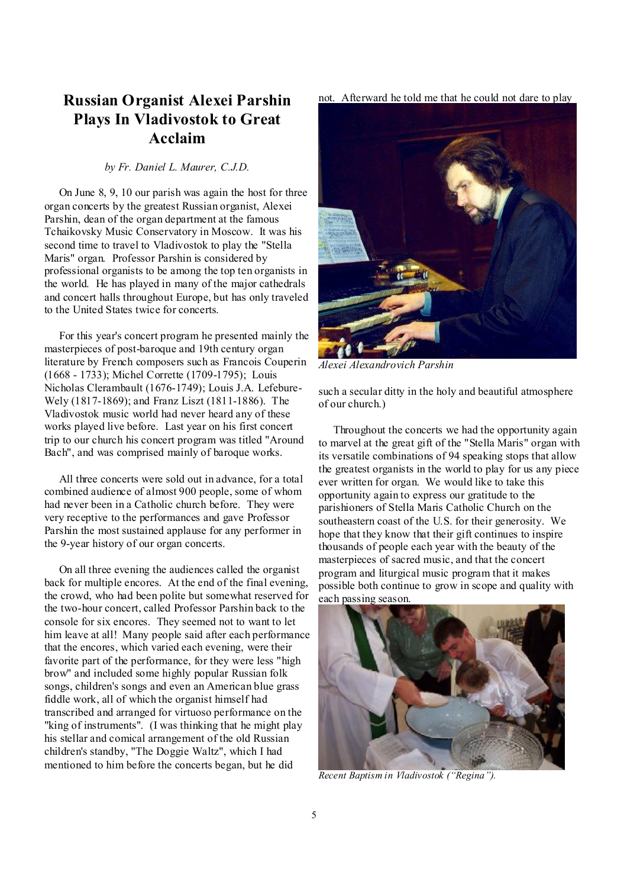# **Russian Organist Alexei Parshin Plays In Vladivostok to Great Acclaim**

#### *by Fr. Daniel L. Maurer, C.J.D.*

 On June 8, 9, 10 our parish was again the host for three organ concerts by the greatest Russian organist, Alexei Parshin, dean of the organ department at the famous Tchaikovsky Music Conservatory in Moscow. It was his second time to travel to Vladivostok to play the "Stella Maris" organ. Professor Parshin is considered by professional organists to be among the top ten organists in the world. He has played in many of the major cathedrals and concert halls throughout Europe, but has only traveled to the United States twice for concerts.

 For this year's concert program he presented mainly the masterpieces of post-baroque and 19th century organ literature by French composers such as Francois Couperin (1668 - 1733); Michel Corrette (1709-1795); Louis Nicholas Clerambault (1676-1749); Louis J.A. Lefebure-Wely (1817-1869); and Franz Liszt (1811-1886). The Vladivostok music world had never heard any of these works played live before. Last year on his first concert trip to our church his concert program was titled "Around Bach", and was comprised mainly of baroque works.

 All three concerts were sold out in advance, for a total combined audience of almost 900 people, some of whom had never been in a Catholic church before. They were very receptive to the performances and gave Professor Parshin the most sustained applause for any performer in the 9-year history of our organ concerts.

 On all three evening the audiences called the organist back for multiple encores. At the end of the final evening, the crowd, who had been polite but somewhat reserved for the two-hour concert, called Professor Parshin back to the console for six encores. They seemed not to want to let him leave at all! Many people said after each performance that the encores, which varied each evening, were their favorite part of the performance, for they were less "high brow" and included some highly popular Russian folk songs, children's songs and even an American blue grass fiddle work, all of which the organist himself had transcribed and arranged for virtuoso performance on the "king of instruments". (I was thinking that he might play his stellar and comical arrangement of the old Russian children's standby, "The Doggie Waltz", which I had mentioned to him before the concerts began, but he did

not. Afterward he told me that he could not dare to play



*Alexei Alexandrovich Parshin* 

such a secular ditty in the holy and beautiful atmosphere of our church.)

 Throughout the concerts we had the opportunity again to marvel at the great gift of the "Stella Maris" organ with its versatile combinations of 94 speaking stops that allow the greatest organists in the world to play for us any piece ever written for organ. We would like to take this opportunity again to express our gratitude to the parishioners of Stella Maris Catholic Church on the southeastern coast of the U.S. for their generosity. We hope that they know that their gift continues to inspire thousands of people each year with the beauty of the masterpieces of sacred music, and that the concert program and liturgical music program that it makes possible both continue to grow in scope and quality with each passing season.



*Recent Baptism in Vladivostok ("Regina").*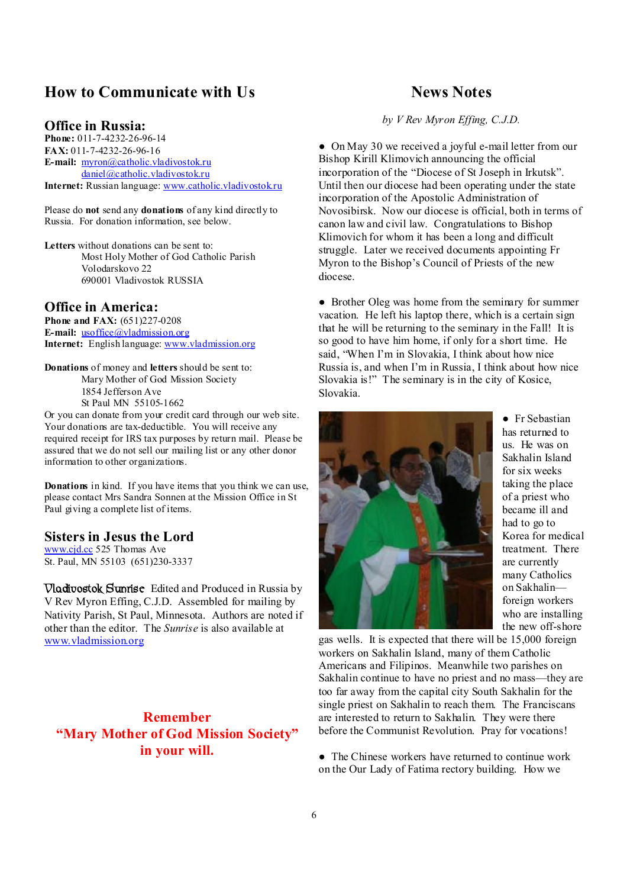## **How to Communicate with Us**

#### **Office in Russia:**

**Phone:** 011-7-4232-26-96-14 **FAX:** 011-7-4232-26-96-16 **E-mail:** [myron@catholic.vladivostok.ru](mailto:myron@catholic.vladivostok.ru) [daniel@catholic.vladivostok.ru](mailto:daniel@catholic.vladivostok.ru) **Internet:** Russian language: [www.catholic.vladivostok.ru](http://www.catholic.vladivostok.ru)

Please do **not** send any **donations** of any kind directly to Russia. For donation information, see below.

**Letters** without donations can be sent to: Most Holy Mother of God Catholic Parish Volodarskovo 22 690001 Vladivostok RUSSIA

## **Office in America:**

**Phone and FAX:** (651)227-0208 **E-mail:** <u>usoffice</u>@vladmission.org **Internet:** English language: [www.vladmission.org](http://www.vladmission.org)

**Donations** of money and **letters** should be sent to: Mary Mother of God Mission Society 1854 Jefferson Ave St Paul MN 55105-1662

Or you can donate from your credit card through our web site. Your donations are tax-deductible. You will receive any required receipt for IRS tax purposes by return mail. Please be assured that we do not sell our mailing list or any other donor information to other organizations.

**Donations** in kind. If you have items that you think we can use, please contact Mrs Sandra Sonnen at the Mission Office in St Paul giving a complete list of items.

### **Sisters in Jesus the Lord**

[www.cjd.cc](http://www.cjd.cc) 525 Thomas Ave St. Paul, MN 55103 (651)230-3337

**Vladivostok Sunrise** Edited and Produced in Russia by V Rev Myron Effing, C.J.D. Assembled for mailing by Nativity Parish, St Paul, Minnesota. Authors are noted if other than the editor. The *Sunrise* is also available at [www.vladmission.org](http://www.vladmission.org)

**Remember "Mary Mother of God Mission Society" in your will.** 

## **News Notes**

*by V Rev Myron Effing, C.J.D.*

• On May 30 we received a joyful e-mail letter from our Bishop Kirill Klimovich announcing the official incorporation of the "Diocese of St Joseph in Irkutsk". Until then our diocese had been operating under the state incorporation of the Apostolic Administration of Novosibirsk. Now our diocese is official, both in terms of canon law and civil law. Congratulations to Bishop Klimovich for whom it has been a long and difficult struggle. Later we received documents appointing Fr Myron to the Bishop's Council of Priests of the new diocese.

• Brother Oleg was home from the seminary for summer vacation. He left his laptop there, which is a certain sign that he will be returning to the seminary in the Fall! It is so good to have him home, if only for a short time. He said, "When I'm in Slovakia, I think about how nice Russia is, and when I'm in Russia, I think about how nice Slovakia is!" The seminary is in the city of Kosice, Slovakia.



● Fr Sebastian has returned to us. He was on Sakhalin Island for six weeks taking the place of a priest who became ill and had to go to Korea for medical treatment. There are currently many Catholics on Sakhalin foreign workers who are installing the new off-shore

gas wells. It is expected that there will be 15,000 foreign workers on Sakhalin Island, many of them Catholic Americans and Filipinos. Meanwhile two parishes on Sakhalin continue to have no priest and no mass—they are too far away from the capital city South Sakhalin for the single priest on Sakhalin to reach them. The Franciscans are interested to return to Sakhalin. They were there before the Communist Revolution. Pray for vocations!

• The Chinese workers have returned to continue work on the Our Lady of Fatima rectory building. How we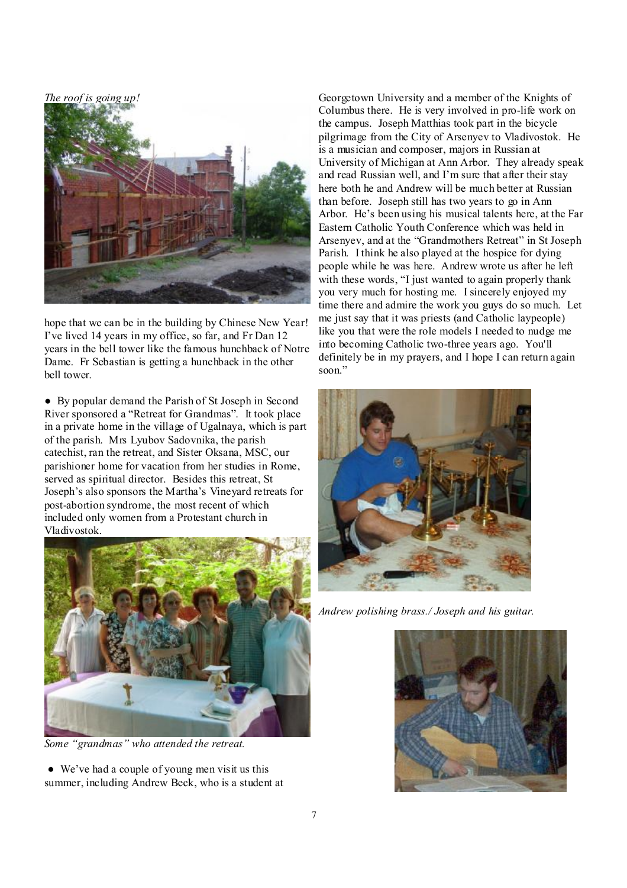*The roof is going up!*



hope that we can be in the building by Chinese New Year! I've lived 14 years in my office, so far, and Fr Dan 12 years in the bell tower like the famous hunchback of Notre Dame. Fr Sebastian is getting a hunchback in the other bell tower.

● By popular demand the Parish of St Joseph in Second River sponsored a "Retreat for Grandmas". It took place in a private home in the village of Ugalnaya, which is part of the parish. Mrs Lyubov Sadovnika, the parish catechist, ran the retreat, and Sister Oksana, MSC, our parishioner home for vacation from her studies in Rome, served as spiritual director. Besides this retreat, St Joseph's also sponsors the Martha's Vineyard retreats for post-abortion syndrome, the most recent of which included only women from a Protestant church in Vladivostok.



*Some "grandmas" who attended the retreat.* 

● We've had a couple of young men visit us this summer, including Andrew Beck, who is a student at

Georgetown University and a member of the Knights of Columbus there. He is very involved in pro-life work on the campus. Joseph Matthias took part in the bicycle pilgrimage from the City of Arsenyev to Vladivostok. He is a musician and composer, majors in Russian at University of Michigan at Ann Arbor. They already speak and read Russian well, and I'm sure that after their stay here both he and Andrew will be much better at Russian than before. Joseph still has two years to go in Ann Arbor. He's been using his musical talents here, at the Far Eastern Catholic Youth Conference which was held in Arsenyev, and at the "Grandmothers Retreat" in St Joseph Parish. I think he also played at the hospice for dying people while he was here. Andrew wrote us after he left with these words, "I just wanted to again properly thank you very much for hosting me. I sincerely enjoyed my time there and admire the work you guys do so much. Let me just say that it was priests (and Catholic laypeople) like you that were the role models I needed to nudge me into becoming Catholic two-three years ago. You'll definitely be in my prayers, and I hope I can return again soon."



*Andrew polishing brass./ Joseph and his guitar.*